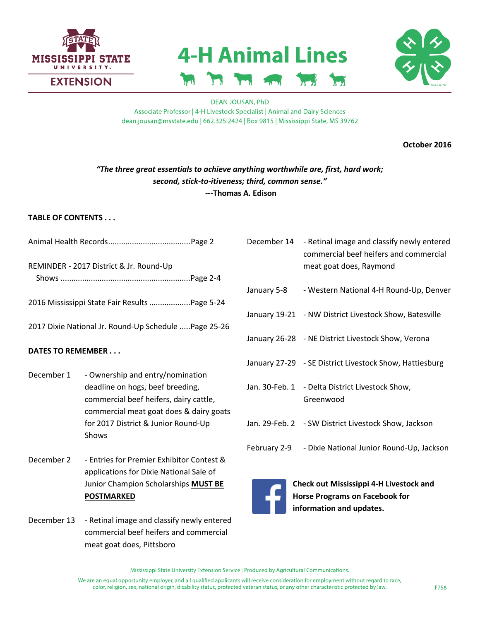

# **4-H Animal Lines**



**DEAN JOUSAN, PhD** Associate Professor | 4-H Livestock Specialist | Animal and Dairy Sciences dean.jousan@msstate.edu | 662.325.2424 | Box 9815 | Mississippi State, MS 39762

**October 2016**

# *"The three great essentials to achieve anything worthwhile are, first, hard work; second, stick-to-itiveness; third, common sense."* **---Thomas A. Edison**

## **TABLE OF CONTENTS . . .**

Animal Health Records......................................Page 2

REMINDER - 2017 District & Jr. Round-Up Shows ............................................................Page 2-4

2016 Mississippi State Fair Results...................Page 5-24

2017 Dixie National Jr. Round-Up Schedule .....Page 25-26

## **DATES TO REMEMBER . . .**

- December 1 Ownership and entry/nomination deadline on hogs, beef breeding, commercial beef heifers, dairy cattle, commercial meat goat does & dairy goats for 2017 District & Junior Round-Up Shows
- December 2 Entries for Premier Exhibitor Contest & applications for Dixie National Sale of Junior Champion Scholarships **MUST BE POSTMARKED**

December 13 - Retinal image and classify newly entered commercial beef heifers and commercial meat goat does, Pittsboro

- December 14 Retinal image and classify newly entered commercial beef heifers and commercial meat goat does, Raymond
- January 5-8 Western National 4-H Round-Up, Denver
- January 19-21 NW District Livestock Show, Batesville
- January 26-28 NE District Livestock Show, Verona
- January 27-29 SE District Livestock Show, Hattiesburg
- Jan. 30-Feb. 1 Delta District Livestock Show, Greenwood
- Jan. 29-Feb. 2 SW District Livestock Show, Jackson
- February 2-9 Dixie National Junior Round-Up, Jackson



**Check out [Mississippi 4-H Livestock and](https://www.facebook.com/pages/Mississippi-4-H-Livestock-and-Horse-Programs/763274590406280)  [Horse Programs](https://www.facebook.com/pages/Mississippi-4-H-Livestock-and-Horse-Programs/763274590406280) on Facebook for information and updates.**

Mississippi State University Extension Service | Produced by Agricultural Communications.

We are an equal opportunity employer, and all qualified applicants will receive consideration for employment without regard to race, color, religion, sex, national origin, disability status, protected veteran status, or any other characteristic protected by law.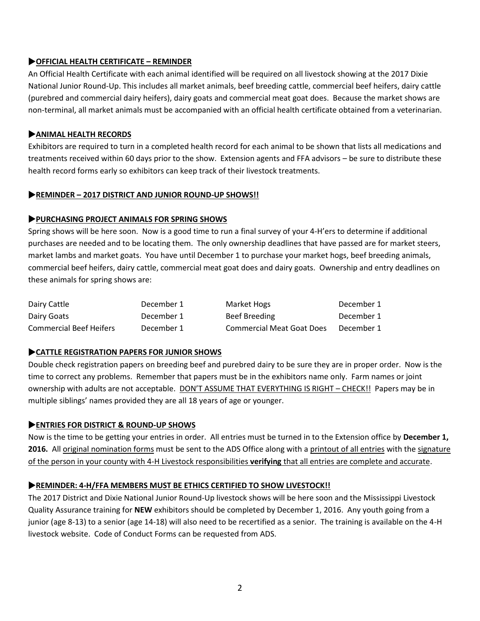## **OFFICIAL HEALTH CERTIFICATE – REMINDER**

An Official Health Certificate with each animal identified will be required on all livestock showing at the 2017 Dixie National Junior Round-Up. This includes all market animals, beef breeding cattle, commercial beef heifers, dairy cattle (purebred and commercial dairy heifers), dairy goats and commercial meat goat does. Because the market shows are non-terminal, all market animals must be accompanied with an official health certificate obtained from a veterinarian.

#### **ANIMAL HEALTH RECORDS**

Exhibitors are required to turn in a completed health record for each animal to be shown that lists all medications and treatments received within 60 days prior to the show. Extension agents and FFA advisors – be sure to distribute these health record forms early so exhibitors can keep track of their livestock treatments.

#### **REMINDER – 2017 DISTRICT AND JUNIOR ROUND-UP SHOWS!!**

#### **PURCHASING PROJECT ANIMALS FOR SPRING SHOWS**

Spring shows will be here soon. Now is a good time to run a final survey of your 4-H'ers to determine if additional purchases are needed and to be locating them. The only ownership deadlines that have passed are for market steers, market lambs and market goats. You have until December 1 to purchase your market hogs, beef breeding animals, commercial beef heifers, dairy cattle, commercial meat goat does and dairy goats. Ownership and entry deadlines on these animals for spring shows are:

| Dairy Cattle                   | December 1 | Market Hogs                      | December 1 |
|--------------------------------|------------|----------------------------------|------------|
| Dairy Goats                    | December 1 | Beef Breeding                    | December 1 |
| <b>Commercial Beef Heifers</b> | December 1 | <b>Commercial Meat Goat Does</b> | December 1 |

## **CATTLE REGISTRATION PAPERS FOR JUNIOR SHOWS**

Double check registration papers on breeding beef and purebred dairy to be sure they are in proper order. Now is the time to correct any problems. Remember that papers must be in the exhibitors name only. Farm names or joint ownership with adults are not acceptable. DON'T ASSUME THAT EVERYTHING IS RIGHT – CHECK!! Papers may be in multiple siblings' names provided they are all 18 years of age or younger.

## **ENTRIES FOR DISTRICT & ROUND-UP SHOWS**

Now is the time to be getting your entries in order. All entries must be turned in to the Extension office by **December 1, 2016.** All original nomination forms must be sent to the ADS Office along with a printout of all entries with the signature of the person in your county with 4-H Livestock responsibilities **verifying** that all entries are complete and accurate.

#### **REMINDER: 4-H/FFA MEMBERS MUST BE ETHICS CERTIFIED TO SHOW LIVESTOCK!!**

The 2017 District and Dixie National Junior Round-Up livestock shows will be here soon and the Mississippi Livestock Quality Assurance training for **NEW** exhibitors should be completed by December 1, 2016. Any youth going from a junior (age 8-13) to a senior (age 14-18) will also need to be recertified as a senior. The training is available on the 4-H livestock website. Code of Conduct Forms can be requested from ADS.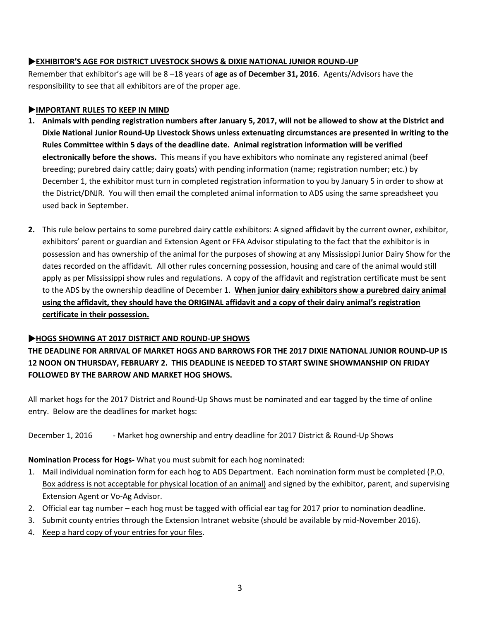## **EXHIBITOR'S AGE FOR DISTRICT LIVESTOCK SHOWS & DIXIE NATIONAL JUNIOR ROUND-UP**

Remember that exhibitor's age will be 8 –18 years of **age as of December 31, 2016**. Agents/Advisors have the responsibility to see that all exhibitors are of the proper age.

## **IMPORTANT RULES TO KEEP IN MIND**

- **1. Animals with pending registration numbers after January 5, 2017, will not be allowed to show at the District and Dixie National Junior Round-Up Livestock Shows unless extenuating circumstances are presented in writing to the Rules Committee within 5 days of the deadline date. Animal registration information will be verified electronically before the shows.** This means if you have exhibitors who nominate any registered animal (beef breeding; purebred dairy cattle; dairy goats) with pending information (name; registration number; etc.) by December 1, the exhibitor must turn in completed registration information to you by January 5 in order to show at the District/DNJR. You will then email the completed animal information to ADS using the same spreadsheet you used back in September.
- **2.** This rule below pertains to some purebred dairy cattle exhibitors: A signed affidavit by the current owner, exhibitor, exhibitors' parent or guardian and Extension Agent or FFA Advisor stipulating to the fact that the exhibitor is in possession and has ownership of the animal for the purposes of showing at any Mississippi Junior Dairy Show for the dates recorded on the affidavit. All other rules concerning possession, housing and care of the animal would still apply as per Mississippi show rules and regulations. A copy of the affidavit and registration certificate must be sent to the ADS by the ownership deadline of December 1. **When junior dairy exhibitors show a purebred dairy animal using the affidavit, they should have the ORIGINAL affidavit and a copy of their dairy animal's registration certificate in their possession.**

# **HOGS SHOWING AT 2017 DISTRICT AND ROUND-UP SHOWS**

# **THE DEADLINE FOR ARRIVAL OF MARKET HOGS AND BARROWS FOR THE 2017 DIXIE NATIONAL JUNIOR ROUND-UP IS 12 NOON ON THURSDAY, FEBRUARY 2. THIS DEADLINE IS NEEDED TO START SWINE SHOWMANSHIP ON FRIDAY FOLLOWED BY THE BARROW AND MARKET HOG SHOWS.**

All market hogs for the 2017 District and Round-Up Shows must be nominated and ear tagged by the time of online entry. Below are the deadlines for market hogs:

December 1, 2016 - Market hog ownership and entry deadline for 2017 District & Round-Up Shows

## **Nomination Process for Hogs-** What you must submit for each hog nominated:

- 1. Mail individual nomination form for each hog to ADS Department. Each nomination form must be completed (P.O. Box address is not acceptable for physical location of an animal) and signed by the exhibitor, parent, and supervising Extension Agent or Vo-Ag Advisor.
- 2. Official ear tag number each hog must be tagged with official ear tag for 2017 prior to nomination deadline.
- 3. Submit county entries through the Extension Intranet website (should be available by mid-November 2016).
- 4. Keep a hard copy of your entries for your files.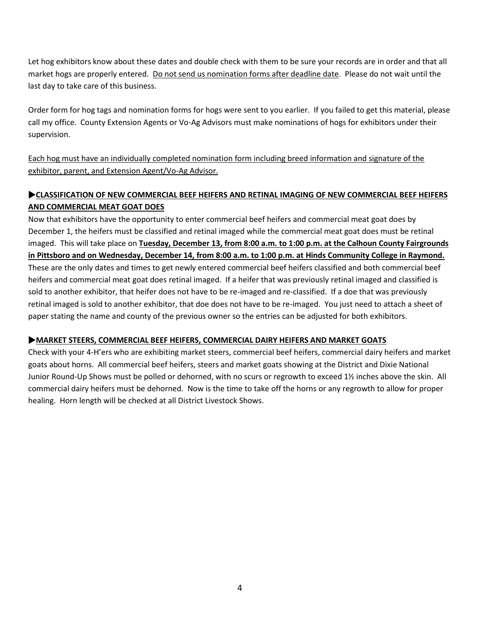Let hog exhibitors know about these dates and double check with them to be sure your records are in order and that all market hogs are properly entered. Do not send us nomination forms after deadline date. Please do not wait until the last day to take care of this business.

Order form for hog tags and nomination forms for hogs were sent to you earlier. If you failed to get this material, please call my office. County Extension Agents or Vo-Ag Advisors must make nominations of hogs for exhibitors under their supervision.

Each hog must have an individually completed nomination form including breed information and signature of the exhibitor, parent, and Extension Agent/Vo-Ag Advisor.

# **CLASSIFICATION OF NEW COMMERCIAL BEEF HEIFERS AND RETINAL IMAGING OF NEW COMMERCIAL BEEF HEIFERS AND COMMERCIAL MEAT GOAT DOES**

Now that exhibitors have the opportunity to enter commercial beef heifers and commercial meat goat does by December 1, the heifers must be classified and retinal imaged while the commercial meat goat does must be retinal imaged. This will take place on **Tuesday, December 13, from 8:00 a.m. to 1:00 p.m. at the Calhoun County Fairgrounds in Pittsboro and on Wednesday, December 14, from 8:00 a.m. to 1:00 p.m. at Hinds Community College in Raymond.** These are the only dates and times to get newly entered commercial beef heifers classified and both commercial beef heifers and commercial meat goat does retinal imaged. If a heifer that was previously retinal imaged and classified is sold to another exhibitor, that heifer does not have to be re-imaged and re-classified. If a doe that was previously retinal imaged is sold to another exhibitor, that doe does not have to be re-imaged. You just need to attach a sheet of paper stating the name and county of the previous owner so the entries can be adjusted for both exhibitors.

# **MARKET STEERS, COMMERCIAL BEEF HEIFERS, COMMERCIAL DAIRY HEIFERS AND MARKET GOATS**

Check with your 4-H'ers who are exhibiting market steers, commercial beef heifers, commercial dairy heifers and market goats about horns. All commercial beef heifers, steers and market goats showing at the District and Dixie National Junior Round-Up Shows must be polled or dehorned, with no scurs or regrowth to exceed 1½ inches above the skin. All commercial dairy heifers must be dehorned. Now is the time to take off the horns or any regrowth to allow for proper healing. Horn length will be checked at all District Livestock Shows.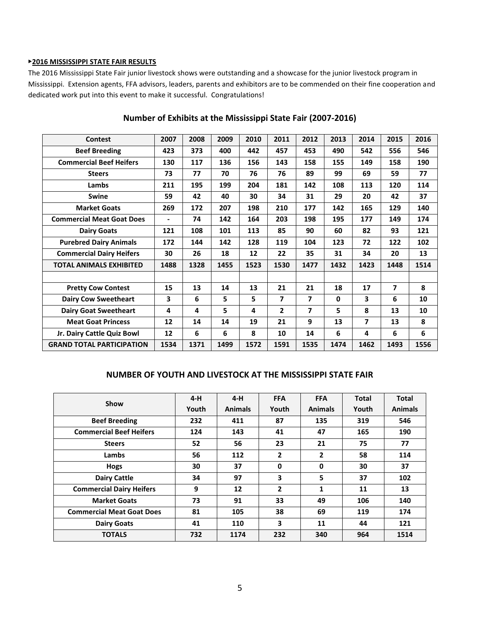#### ▶**2016 MISSISSIPPI STATE FAIR RESULTS**

The 2016 Mississippi State Fair junior livestock shows were outstanding and a showcase for the junior livestock program in Mississippi. Extension agents, FFA advisors, leaders, parents and exhibitors are to be commended on their fine cooperation and dedicated work put into this event to make it successful. Congratulations!

| <b>Contest</b>                   | 2007 | 2008 | 2009 | 2010 | 2011           | 2012                    | 2013         | 2014 | 2015 | 2016 |
|----------------------------------|------|------|------|------|----------------|-------------------------|--------------|------|------|------|
| <b>Beef Breeding</b>             | 423  | 373  | 400  | 442  | 457            | 453                     | 490          | 542  | 556  | 546  |
| <b>Commercial Beef Heifers</b>   | 130  | 117  | 136  | 156  | 143            | 158                     | 155          | 149  | 158  | 190  |
| <b>Steers</b>                    | 73   | 77   | 70   | 76   | 76             | 89                      | 99           | 69   | 59   | 77   |
| Lambs                            | 211  | 195  | 199  | 204  | 181            | 142                     | 108          | 113  | 120  | 114  |
| Swine                            | 59   | 42   | 40   | 30   | 34             | 31                      | 29           | 20   | 42   | 37   |
| <b>Market Goats</b>              | 269  | 172  | 207  | 198  | 210            | 177                     | 142          | 165  | 129  | 140  |
| <b>Commercial Meat Goat Does</b> | ٠    | 74   | 142  | 164  | 203            | 198                     | 195          | 177  | 149  | 174  |
| <b>Dairy Goats</b>               | 121  | 108  | 101  | 113  | 85             | 90                      | 60           | 82   | 93   | 121  |
| <b>Purebred Dairy Animals</b>    | 172  | 144  | 142  | 128  | 119            | 104                     | 123          | 72   | 122  | 102  |
| <b>Commercial Dairy Heifers</b>  | 30   | 26   | 18   | 12   | 22             | 35                      | 31           | 34   | 20   | 13   |
| <b>TOTAL ANIMALS EXHIBITED</b>   | 1488 | 1328 | 1455 | 1523 | 1530           | 1477                    | 1432         | 1423 | 1448 | 1514 |
|                                  |      |      |      |      |                |                         |              |      |      |      |
| <b>Pretty Cow Contest</b>        | 15   | 13   | 14   | 13   | 21             | 21                      | 18           | 17   | 7    | 8    |
| <b>Dairy Cow Sweetheart</b>      | 3    | 6    | 5    | 5    | 7              | $\overline{\mathbf{z}}$ | $\mathbf{0}$ | 3    | 6    | 10   |
| <b>Dairy Goat Sweetheart</b>     | 4    | 4    | 5    | 4    | $\overline{2}$ | 7                       | 5            | 8    | 13   | 10   |
| <b>Meat Goat Princess</b>        | 12   | 14   | 14   | 19   | 21             | 9                       | 13           | 7    | 13   | 8    |
| Jr. Dairy Cattle Quiz Bowl       | 12   | 6    | 6    | 8    | 10             | 14                      | 6            | 4    | 6    | 6    |
| <b>GRAND TOTAL PARTICIPATION</b> | 1534 | 1371 | 1499 | 1572 | 1591           | 1535                    | 1474         | 1462 | 1493 | 1556 |

# **Number of Exhibits at the Mississippi State Fair (2007-2016)**

#### **NUMBER OF YOUTH AND LIVESTOCK AT THE MISSISSIPPI STATE FAIR**

| Show                             | $4-H$ | $4-H$          | <b>FFA</b> | <b>FFA</b>     | <b>Total</b> | <b>Total</b>   |
|----------------------------------|-------|----------------|------------|----------------|--------------|----------------|
|                                  | Youth | <b>Animals</b> | Youth      | <b>Animals</b> | Youth        | <b>Animals</b> |
| <b>Beef Breeding</b>             | 232   | 411            | 87         | 135            | 319          | 546            |
| <b>Commercial Beef Heifers</b>   | 124   | 143            | 41         | 47             | 165          | 190            |
| <b>Steers</b>                    | 52    | 56             | 23         | 21             | 75           | 77             |
| Lambs                            | 56    | 112            | 2          | 2              | 58           | 114            |
| <b>Hogs</b>                      | 30    | 37             | 0          | 0              | 30           | 37             |
| <b>Dairy Cattle</b>              | 34    | 97             | 3          | 5              | 37           | 102            |
| <b>Commercial Dairy Heifers</b>  | 9     | 12             | 2          | 1              | 11           | 13             |
| <b>Market Goats</b>              | 73    | 91             | 33         | 49             | 106          | 140            |
| <b>Commercial Meat Goat Does</b> | 81    | 105            | 38         | 69             | 119          | 174            |
| <b>Dairy Goats</b>               | 41    | 110            | 3          | 11             | 44           | 121            |
| <b>TOTALS</b>                    | 732   | 1174           | 232        | 340            | 964          | 1514           |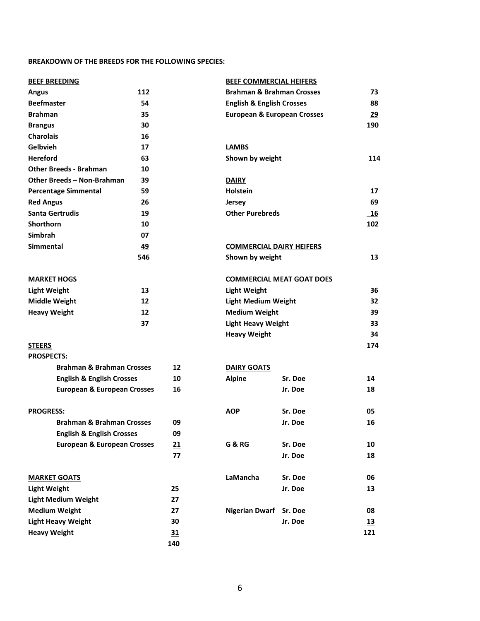#### **BREAKDOWN OF THE BREEDS FOR THE FOLLOWING SPECIES:**

| <b>BEEF BREEDING</b>                   |           |                            | <b>BEEF COMMERCIAL HEIFERS</b>       |                                        |           |
|----------------------------------------|-----------|----------------------------|--------------------------------------|----------------------------------------|-----------|
| 112<br><b>Angus</b>                    |           |                            |                                      | <b>Brahman &amp; Brahman Crosses</b>   |           |
| <b>Beefmaster</b>                      | 54        |                            | <b>English &amp; English Crosses</b> |                                        | 88        |
| <b>Brahman</b>                         | 35        |                            |                                      | <b>European &amp; European Crosses</b> |           |
| <b>Brangus</b>                         | 30        |                            |                                      |                                        | 190       |
| <b>Charolais</b>                       | 16        |                            |                                      |                                        |           |
| <b>Gelbvieh</b>                        | 17        |                            | <b>LAMBS</b>                         |                                        |           |
| <b>Hereford</b><br>63                  |           |                            | Shown by weight                      |                                        | 114       |
| <b>Other Breeds - Brahman</b><br>10    |           |                            |                                      |                                        |           |
| Other Breeds - Non-Brahman<br>39       |           |                            | <b>DAIRY</b>                         |                                        |           |
| <b>Percentage Simmental</b>            | 59        |                            | <b>Holstein</b>                      |                                        | 17        |
| <b>Red Angus</b>                       | 26        |                            | <b>Jersey</b>                        |                                        | 69        |
| <b>Santa Gertrudis</b>                 | 19        |                            | <b>Other Purebreds</b>               |                                        | <b>16</b> |
| Shorthorn                              | 10        |                            |                                      |                                        | 102       |
| <b>Simbrah</b>                         | 07        |                            |                                      |                                        |           |
| <b>Simmental</b>                       | <u>49</u> |                            | <b>COMMERCIAL DAIRY HEIFERS</b>      |                                        |           |
|                                        | 546       |                            | Shown by weight                      |                                        | 13        |
| <b>MARKET HOGS</b>                     |           |                            |                                      | <b>COMMERCIAL MEAT GOAT DOES</b>       |           |
| <b>Light Weight</b>                    | 13        |                            | <b>Light Weight</b>                  |                                        | 36        |
| 12<br><b>Middle Weight</b>             |           | <b>Light Medium Weight</b> |                                      |                                        | 32        |
| <b>Heavy Weight</b><br>12              |           |                            | <b>Medium Weight</b>                 |                                        | 39        |
|                                        | 37        |                            | <b>Light Heavy Weight</b>            |                                        | 33        |
|                                        |           |                            | <b>Heavy Weight</b>                  |                                        | 34        |
| <b>STEERS</b>                          |           |                            |                                      |                                        | 174       |
| <b>PROSPECTS:</b>                      |           |                            |                                      |                                        |           |
| <b>Brahman &amp; Brahman Crosses</b>   |           | 12                         | <b>DAIRY GOATS</b>                   |                                        |           |
| <b>English &amp; English Crosses</b>   |           | 10                         | <b>Alpine</b>                        | Sr. Doe                                | 14        |
| <b>European &amp; European Crosses</b> |           | 16                         |                                      | Jr. Doe                                | 18        |
|                                        |           |                            |                                      |                                        |           |
| <b>PROGRESS:</b>                       |           |                            | <b>AOP</b>                           | Sr. Doe                                | 05        |
| <b>Brahman &amp; Brahman Crosses</b>   |           | 09                         |                                      | Jr. Doe                                | 16        |
| <b>English &amp; English Crosses</b>   |           | 09                         |                                      |                                        |           |
| <b>European &amp; European Crosses</b> |           | 21                         | <b>G &amp; RG</b>                    | Sr. Doe                                | 10        |
|                                        |           | 77                         |                                      | Jr. Doe                                | 18        |
| <b>MARKET GOATS</b>                    |           |                            | LaMancha                             | Sr. Doe                                | 06        |
| <b>Light Weight</b>                    |           | 25                         |                                      | Jr. Doe                                | 13        |
| <b>Light Medium Weight</b>             |           | 27                         |                                      |                                        |           |
| <b>Medium Weight</b>                   |           | 27                         | Nigerian Dwarf Sr. Doe               |                                        | 08        |
| <b>Light Heavy Weight</b>              |           | 30                         |                                      | Jr. Doe                                | <u>13</u> |
| <b>Heavy Weight</b>                    |           | 31                         |                                      |                                        | 121       |
|                                        |           | 140                        |                                      |                                        |           |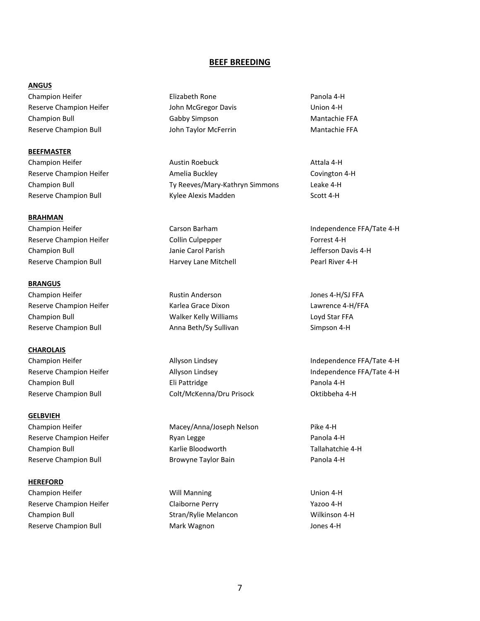#### **BEEF BREEDING**

#### **ANGUS**

Champion Heifer Elizabeth Rone Panola 4-H Reserve Champion Heifer The Subhit McGregor Davis Theorem Champion 4-H Champion Bull Gabby Simpson Mantachie FFA Reserve Champion Bull **Mantachie FFA** John Taylor McFerrin **Mantachie FFA** 

**BEEFMASTER**

**BRAHMAN** Champion Heifer **Champion Heifer** Carson Barham **Carson Barham** Independence FFA/Tate 4-H Reserve Champion Heifer **Reserve Collin Culpepper** Forrest 4-H Champion Bull Janie Carol Parish Jefferson Davis 4-H Reserve Champion Bull **Harvey Lane Mitchell Harvey Lane Mitchell** Pearl River 4-H

**BRANGUS** Champion Heifer **Rustin Anderson** Rustin Anderson **Champion Heifer** Jones 4-H/SJ FFA Reserve Champion Heifer The Reserve Champion Heifer Champion Champion Champion Champion Champion Champion Champion Champion Bull Walker Kelly Williams Loyd Star FFA Reserve Champion Bull **Anna Beth/Sy Sullivan** Simpson 4-H

**CHAROLAIS**

**GELBVIEH** Champion Heifer **Macey/Anna/Joseph Nelson** Pike 4-H

**HEREFORD**

Reserve Champion Heifer The Claiborne Perry Theorem 2012 Claiborne Perry Theorem 2014 Champion Bull Stran/Rylie Melancon Wilkinson 4-H Reserve Champion Bull **Mark Wagnon** Mark Wagnon Mark Wagnon Jones 4-H

Champion Heifer **Austin Roebuck** Austin Roebuck **Attala 4-H** Attala 4-H Reserve Champion Heifer **Amelia Buckley Covington 4-H** Covington 4-H Champion Bull Ty Reeves/Mary-Kathryn Simmons Leake 4-H Reserve Champion Bull **Reserve Champion Bull** Kylee Alexis Madden Scott 4-H

Champion Bull Eli Pattridge Panola 4-H Reserve Champion Bull **Colt/McKenna/Dru Prisock** Oktibbeha 4-H

Reserve Champion Heifer **Ryan Legge** Panola 4-H Champion Bull Karlie Bloodworth Tallahatchie 4-H Reserve Champion Bull **Browyne Taylor Bain** Panola 4-H

Champion Heifer **Will Manning Champion Heifer** Union 4-H

Champion Heifer **Allyson Lindsey** Allyson Lindsey **Independence FFA/Tate 4-H** Reserve Champion Heifer The Allyson Lindsey The Champion Heifer Allyson Lindsey The Champion Heifer Allyson Lindsey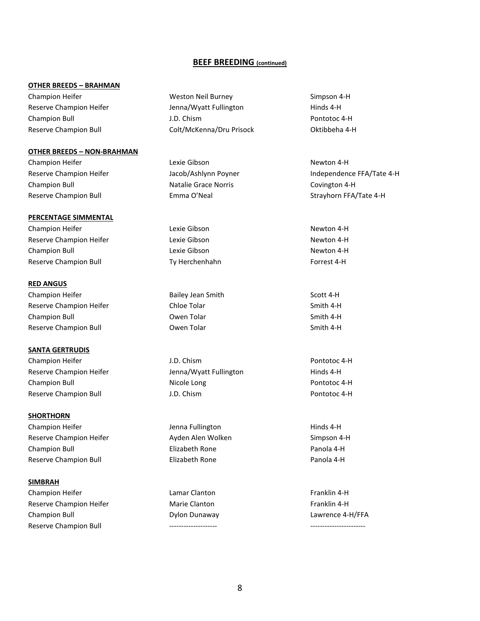#### **BEEF BREEDING (continued)**

#### **OTHER BREEDS – BRAHMAN**

Reserve Champion Bull **Colt/McKenna/Dru Prisock** Oktibbeha 4-H

#### **OTHER BREEDS – NON-BRAHMAN**

Champion Heifer **Champion Heifer** Lexie Gibson **Newton 4-H Newton 4-H** Champion Bull Natalie Grace Norris Covington 4-H

#### **PERCENTAGE SIMMENTAL**

Champion Heifer **Champion Heifer** Lexie Gibson **Newton 4-H Newton 4-H** Reserve Champion Heifer **Reserve Champion Heifer** Lexie Gibson Newton 4-H Champion Bull **Champion Bull** Lexie Gibson **Newton 4-H** Reserve Champion Bull **Ty Herchenhahn** Forrest 4-H

#### **RED ANGUS**

Champion Heifer **Bailey Jean Smith** Scott 4-H Reserve Champion Heifer The Chloe Tolar Chloe Tolar Smith 4-H Champion Bull **Champion Bull** Communication of the Champion Bull Communication of the Champion Smith 4-H Reserve Champion Bull **Smith 4-H** Owen Tolar Smith 4-H Smith 4-H

#### **SANTA GERTRUDIS**

Champion Heifer **Champion Heifer** J.D. Chism **Champion Heifer** Pontotoc 4-H Reserve Champion Heifer The Muslim Jenna/Wyatt Fullington Theorem Hinds 4-H Champion Bull **Nicole Long Champion Bull** Pontotoc 4-H Reserve Champion Bull **Champion Bull Champion Communist** J.D. Chism **Pontotoc 4-H** Pontotoc 4-H

#### **SHORTHORN**

Champion Heifer The State of Lenna Fullington Theorem Hinds 4-H Reserve Champion Heifer **Ayden Alen Wolken** And Simpson 4-H Champion Bull Elizabeth Rone Panola 4-H Reserve Champion Bull **Elizabeth Rone Panola 4-H** Panola 4-H

#### **SIMBRAH**

Champion Heifer **Lamar Clanton Lamar Clanton Champion Heifer** Franklin 4-H Reserve Champion Heifer **Marie Clanton** Marie Clanton **Franklin** 4-H Champion Bull Dylon Dunaway Lawrence 4-H/FFA Reserve Champion Bull

Champion Heifer The Champion Heifer Neil Burney Neil Burney Simpson 4-H Reserve Champion Heifer The Muslim Jenna/Wyatt Fullington Theorem Hinds 4-H Champion Bull J.D. Chism Pontotoc 4-H

Reserve Champion Heifer The Macob/Ashlynn Poyner The Independence FFA/Tate 4-H Reserve Champion Bull **Emma O'Neal** Strayhorn FFA/Tate 4-H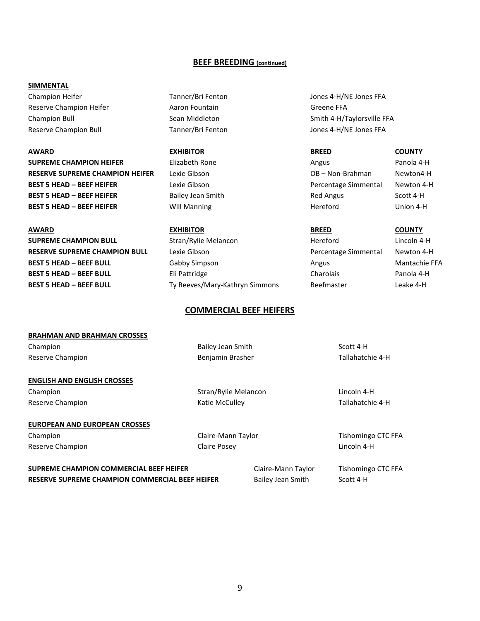#### **BEEF BREEDING (continued)**

#### **SIMMENTAL**

Champion Heifer Tanner/Bri Fenton Tanner/Bri Fenton Jones 4-H/NE Jones FFA Reserve Champion Heifer **Aaron Fountain** Aaron Fountain Greene FFA Reserve Champion Bull **Tanner/Bri Fenton** Jones 4-H/NE Jones FFA

**AWARD EXHIBITOR BREED COUNTY SUPREME CHAMPION HEIFER** Elizabeth Rone **Angus** Angus Panola 4-H **RESERVE SUPREME CHAMPION HEIFER** Lexie Gibson **CHAMPION 1999** OB – Non-Brahman Newton4-H **BEST 5 HEAD – BEEF HEIFER** Lexie Gibson **Community Community Percentage Simmental Newton 4-H BEST 5 HEAD – BEEF HEIFER** Bailey Jean Smith Red Angus Scott 4-H **BEST 5 HEAD – BEEF HEIFER** Will Manning **Hereford** Hereford Union 4-H

# **SUPREME CHAMPION BULL** Stran/Rylie Melancon **Hereford** Hereford Lincoln 4-H **RESERVE SUPREME CHAMPION BULL** Lexie Gibson **Percentage Simmental Newton 4-H** Percentage Simmental Newton 4-H **BEST 5 HEAD – BEEF BULL Cabby Simpson Angus** Angus Mantachie FFA **BEST 5 HEAD – BEEF BULL** Eli Pattridge Charolais Charolais Panola 4-H **BEST 5 HEAD – BEEF BULL** Ty Reeves/Mary-Kathryn Simmons Beefmaster Leake 4-H

# **AWARD EXHIBITOR BREED COUNTY**

Champion Bull **Sean Middleton** Sean Middleton Smith 4-H/Taylorsville FFA

#### **COMMERCIAL BEEF HEIFERS**

# **BRAHMAN AND BRAHMAN CROSSES** Champion **Bailey Jean Smith** Scott 4-H Reserve Champion **Benjamin Brasher** Benjamin Brasher **Benjamin Brasher** Tallahatchie 4-H **ENGLISH AND ENGLISH CROSSES**

**EUROPEAN AND EUROPEAN CROSSES** Champion Champion Claire-Mann Taylor Champion CTC FFA

Champion Champion Champion Champion Stran/Rylie Melancon Champion Lincoln 4-H Reserve Champion **National Champion** Katie McCulley **Champion** Tallahatchie 4-H

Reserve Champion **Claire Posey** Claire Posey **Claire Posey** Claire Posey **Claire Posey** Lincoln 4-H

**SUPREME CHAMPION COMMERCIAL BEEF HEIFER** Claire-Mann Taylor Tishomingo CTC FFA **RESERVE SUPREME CHAMPION COMMERCIAL BEEF HEIFER** Bailey Jean Smith Scott 4-H

9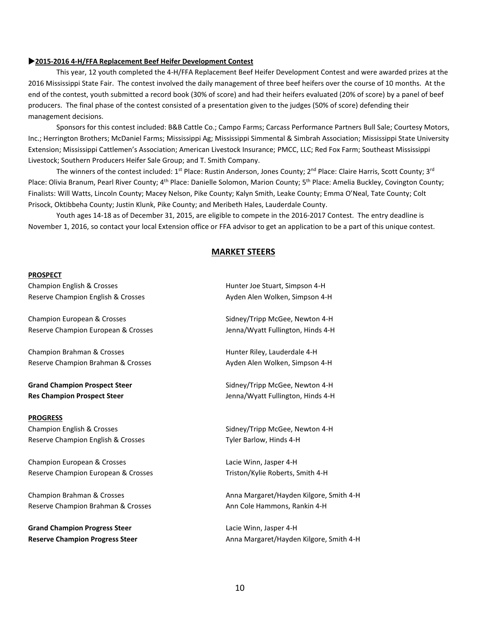#### **2015-2016 4-H/FFA Replacement Beef Heifer Development Contest**

This year, 12 youth completed the 4-H/FFA Replacement Beef Heifer Development Contest and were awarded prizes at the 2016 Mississippi State Fair. The contest involved the daily management of three beef heifers over the course of 10 months. At the end of the contest, youth submitted a record book (30% of score) and had their heifers evaluated (20% of score) by a panel of beef producers. The final phase of the contest consisted of a presentation given to the judges (50% of score) defending their management decisions.

Sponsors for this contest included: B&B Cattle Co.; Campo Farms; Carcass Performance Partners Bull Sale; Courtesy Motors, Inc.; Herrington Brothers; McDaniel Farms; Mississippi Ag; Mississippi Simmental & Simbrah Association; Mississippi State University Extension; Mississippi Cattlemen's Association; American Livestock Insurance; PMCC, LLC; Red Fox Farm; Southeast Mississippi Livestock; Southern Producers Heifer Sale Group; and T. Smith Company.

The winners of the contest included:  $1^{st}$  Place: Rustin Anderson, Jones County;  $2^{nd}$  Place: Claire Harris, Scott County;  $3^{rd}$ Place: Olivia Branum, Pearl River County; 4<sup>th</sup> Place: Danielle Solomon, Marion County; 5<sup>th</sup> Place: Amelia Buckley, Covington County; Finalists: Will Watts, Lincoln County; Macey Nelson, Pike County; Kalyn Smith, Leake County; Emma O'Neal, Tate County; Colt Prisock, Oktibbeha County; Justin Klunk, Pike County; and Meribeth Hales, Lauderdale County.

Youth ages 14-18 as of December 31, 2015, are eligible to compete in the 2016-2017 Contest. The entry deadline is November 1, 2016, so contact your local Extension office or FFA advisor to get an application to be a part of this unique contest.

#### **MARKET STEERS**

#### **PROSPECT**

Champion English & Crosses Hunter Joe Stuart, Simpson 4-H Reserve Champion English & Crosses Area Ayden Alen Wolken, Simpson 4-H

Champion European & Crosses Sidney/Tripp McGee, Newton 4-H Reserve Champion European & Crosses Group Musliman Muslim Jenna/Wyatt Fullington, Hinds 4-H

Champion Brahman & Crosses The Champion Brahman & Crosses The Champion Brahman & Crosses The Champion Brahman H Reserve Champion Brahman & Crosses Ayden Alen Wolken, Simpson 4-H

**Grand Champion Prospect Steer** Steer Sidney/Tripp McGee, Newton 4-H

#### **PROGRESS**

Champion English & Crosses Transaction Champion English & Crosses Sidney/Tripp McGee, Newton 4-H Reserve Champion English & Crosses The Contract Controller Barlow, Hinds 4-H

Champion European & Crosses **Lacie Winn**, Jasper 4-H Reserve Champion European & Crosses Triston/Kylie Roberts, Smith 4-H

Reserve Champion Brahman & Crosses Ann Cole Hammons, Rankin 4-H

**Grand Champion Progress Steer Lacie Winn, Jasper 4-H Grand Champion Progress Steer** 

**Res Champion Prospect Steer Jenna/Wyatt Fullington, Hinds 4-H** 

Champion Brahman & Crosses Anna Margaret/Hayden Kilgore, Smith 4-H

Reserve Champion Progress Steer **Anna Margaret/Hayden Kilgore, Smith 4-H**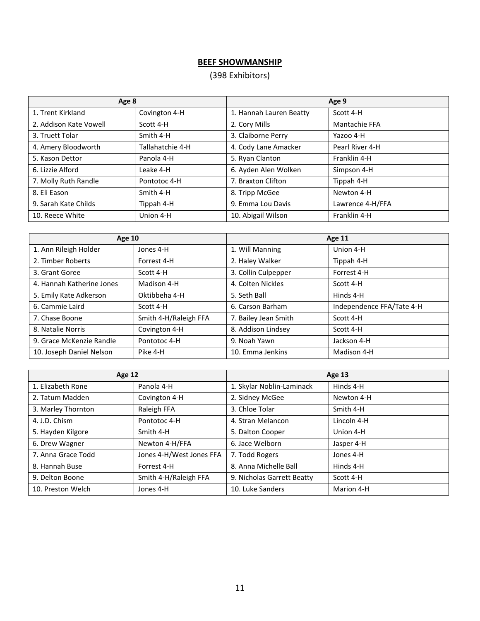# **BEEF SHOWMANSHIP**

# (398 Exhibitors)

| Age 8                  |                  | Age 9                   |                  |  |
|------------------------|------------------|-------------------------|------------------|--|
| 1. Trent Kirkland      | Covington 4-H    | 1. Hannah Lauren Beatty | Scott 4-H        |  |
| 2. Addison Kate Vowell | Scott 4-H        | 2. Cory Mills           | Mantachie FFA    |  |
| 3. Truett Tolar        | Smith 4-H        | 3. Claiborne Perry      | Yazoo 4-H        |  |
| 4. Amery Bloodworth    | Tallahatchie 4-H | 4. Cody Lane Amacker    | Pearl River 4-H  |  |
| 5. Kason Dettor        | Panola 4-H       | 5. Ryan Clanton         | Franklin 4-H     |  |
| 6. Lizzie Alford       | Leake 4-H        | 6. Ayden Alen Wolken    | Simpson 4-H      |  |
| 7. Molly Ruth Randle   | Pontotoc 4-H     | 7. Braxton Clifton      | Tippah 4-H       |  |
| 8. Eli Eason           | Smith 4-H        | 8. Tripp McGee          | Newton 4-H       |  |
| 9. Sarah Kate Childs   | Tippah 4-H       | 9. Emma Lou Davis       | Lawrence 4-H/FFA |  |
| 10. Reece White        | Union 4-H        | 10. Abigail Wilson      | Franklin 4-H     |  |

| <b>Age 10</b>             |                       | <b>Age 11</b>        |                           |  |
|---------------------------|-----------------------|----------------------|---------------------------|--|
| 1. Ann Rileigh Holder     | Jones 4-H             | 1. Will Manning      | Union 4-H                 |  |
| 2. Timber Roberts         | Forrest 4-H           | 2. Haley Walker      | Tippah 4-H                |  |
| 3. Grant Goree            | Scott 4-H             | 3. Collin Culpepper  | Forrest 4-H               |  |
| 4. Hannah Katherine Jones | Madison 4-H           | 4. Colten Nickles    | Scott 4-H                 |  |
| 5. Emily Kate Adkerson    | Oktibbeha 4-H         | 5. Seth Ball         | Hinds 4-H                 |  |
| 6. Cammie Laird           | Scott 4-H             | 6. Carson Barham     | Independence FFA/Tate 4-H |  |
| 7. Chase Boone            | Smith 4-H/Raleigh FFA | 7. Bailey Jean Smith | Scott 4-H                 |  |
| 8. Natalie Norris         | Covington 4-H         | 8. Addison Lindsey   | Scott 4-H                 |  |
| 9. Grace McKenzie Randle  | Pontotoc 4-H          | 9. Noah Yawn         | Jackson 4-H               |  |
| 10. Joseph Daniel Nelson  | Pike 4-H              | 10. Emma Jenkins     | Madison 4-H               |  |

| Age 12             |                          | <b>Age 13</b>              |             |  |
|--------------------|--------------------------|----------------------------|-------------|--|
| 1. Elizabeth Rone  | Panola 4-H               | 1. Skylar Noblin-Laminack  | Hinds 4-H   |  |
| 2. Tatum Madden    | Covington 4-H            | 2. Sidney McGee            | Newton 4-H  |  |
| 3. Marley Thornton | Raleigh FFA              | 3. Chloe Tolar             | Smith 4-H   |  |
| 4. J.D. Chism      | Pontotoc 4-H             | 4. Stran Melancon          | Lincoln 4-H |  |
| 5. Hayden Kilgore  | Smith 4-H                | 5. Dalton Cooper           | Union 4-H   |  |
| 6. Drew Wagner     | Newton 4-H/FFA           | 6. Jace Welborn            | Jasper 4-H  |  |
| 7. Anna Grace Todd | Jones 4-H/West Jones FFA | 7. Todd Rogers             | Jones 4-H   |  |
| 8. Hannah Buse     | Forrest 4-H              | 8. Anna Michelle Ball      | Hinds 4-H   |  |
| 9. Delton Boone    | Smith 4-H/Raleigh FFA    | 9. Nicholas Garrett Beatty | Scott 4-H   |  |
| 10. Preston Welch  | Jones 4-H                | 10. Luke Sanders           | Marion 4-H  |  |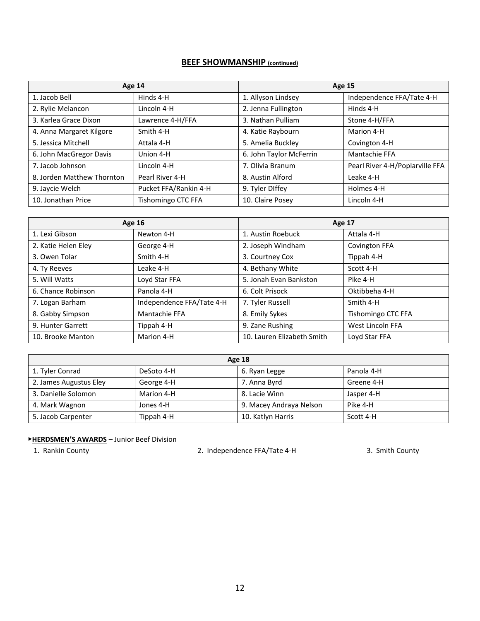# **BEEF SHOWMANSHIP (continued)**

| <b>Age 14</b>              |                           | <b>Age 15</b>           |                                 |  |
|----------------------------|---------------------------|-------------------------|---------------------------------|--|
| 1. Jacob Bell              | Hinds 4-H                 | 1. Allyson Lindsey      | Independence FFA/Tate 4-H       |  |
| 2. Rylie Melancon          | Lincoln 4-H               | 2. Jenna Fullington     | Hinds 4-H                       |  |
| 3. Karlea Grace Dixon      | Lawrence 4-H/FFA          | 3. Nathan Pulliam       | Stone 4-H/FFA                   |  |
| 4. Anna Margaret Kilgore   | Smith 4-H                 | 4. Katie Raybourn       | Marion 4-H                      |  |
| 5. Jessica Mitchell        | Attala 4-H                | 5. Amelia Buckley       | Covington 4-H                   |  |
| 6. John MacGregor Davis    | Union 4-H                 | 6. John Taylor McFerrin | Mantachie FFA                   |  |
| 7. Jacob Johnson           | Lincoln 4-H               | 7. Olivia Branum        | Pearl River 4-H/Poplarville FFA |  |
| 8. Jorden Matthew Thornton | Pearl River 4-H           | 8. Austin Alford        | Leake 4-H                       |  |
| 9. Jaycie Welch            | Pucket FFA/Rankin 4-H     | 9. Tyler DIffey         | Holmes 4-H                      |  |
| 10. Jonathan Price         | <b>Tishomingo CTC FFA</b> | 10. Claire Posey        | Lincoln 4-H                     |  |

| <b>Age 16</b>       |                           | <b>Age 17</b>              |                      |  |
|---------------------|---------------------------|----------------------------|----------------------|--|
| 1. Lexi Gibson      | Newton 4-H                | 1. Austin Roebuck          | Attala 4-H           |  |
| 2. Katie Helen Eley | George 4-H                | 2. Joseph Windham          | <b>Covington FFA</b> |  |
| 3. Owen Tolar       | Smith 4-H                 | 3. Courtney Cox            | Tippah 4-H           |  |
| 4. Ty Reeves        | Leake 4-H                 | 4. Bethany White           | Scott 4-H            |  |
| 5. Will Watts       | Loyd Star FFA             | 5. Jonah Evan Bankston     | Pike 4-H             |  |
| 6. Chance Robinson  | Panola 4-H                | 6. Colt Prisock            | Oktibbeha 4-H        |  |
| 7. Logan Barham     | Independence FFA/Tate 4-H | 7. Tyler Russell           | Smith 4-H            |  |
| 8. Gabby Simpson    | <b>Mantachie FFA</b>      | 8. Emily Sykes             | Tishomingo CTC FFA   |  |
| 9. Hunter Garrett   | Tippah 4-H                | 9. Zane Rushing            | West Lincoln FFA     |  |
| 10. Brooke Manton   | Marion 4-H                | 10. Lauren Elizabeth Smith | Loyd Star FFA        |  |

| <b>Age 18</b>          |            |                         |            |  |
|------------------------|------------|-------------------------|------------|--|
| 1. Tyler Conrad        | DeSoto 4-H | 6. Ryan Legge           | Panola 4-H |  |
| 2. James Augustus Eley | George 4-H | 7. Anna Byrd            | Greene 4-H |  |
| 3. Danielle Solomon    | Marion 4-H | 8. Lacie Winn           | Jasper 4-H |  |
| 4. Mark Wagnon         | Jones 4-H  | 9. Macey Andraya Nelson | Pike 4-H   |  |
| 5. Jacob Carpenter     | Tippah 4-H | 10. Katlyn Harris       | Scott 4-H  |  |

## ▶**HERDSMEN'S AWARDS** – Junior Beef Division

1. Rankin County **2. Independence FFA/Tate 4-H** 3. Smith County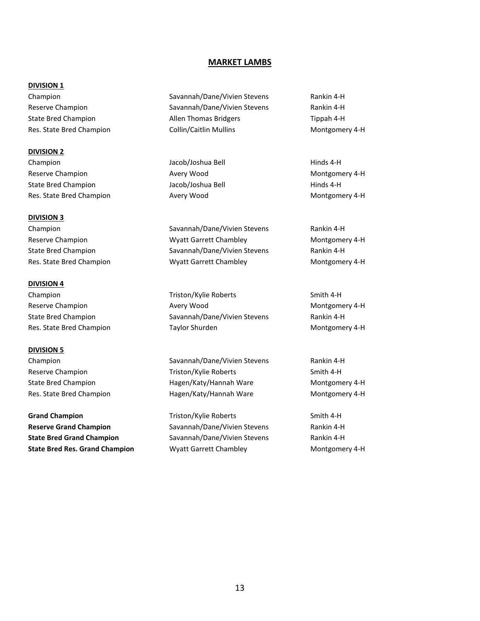#### **MARKET LAMBS**

#### **DIVISION 1**

**DIVISION 2** Champion and The Champion Champion Champion Champion Champion Champion Champion Champion Champion Champion Champion Reserve Champion **Avery Wood** Avery Wood Montgomery 4-H State Bred Champion The State Bred Champion Champion Jacob/Joshua Bell The Hinds 4-H Res. State Bred Champion **Avery Wood Avery Wood** Montgomery 4-H

#### **DIVISION 3**

#### **DIVISION 4**

**DIVISION 5**

**Grand Champion** Triston/Kylie Roberts Smith 4-H **Reserve Grand Champion** Savannah/Dane/Vivien Stevens Rankin 4-H **State Bred Grand Champion** Savannah/Dane/Vivien Stevens Rankin 4-H **State Bred Res. Grand Champion Myatt Garrett Chambley Montgomery 4-H** Montgomery 4-H

Champion Savannah/Dane/Vivien Stevens Rankin 4-H Reserve Champion The Savannah/Dane/Vivien Stevens Rankin 4-H State Bred Champion **Allen Thomas Bridgers** Tippah 4-H Res. State Bred Champion **Collin/Caitlin Mullins** Montgomery 4-H

Champion Savannah/Dane/Vivien Stevens Rankin 4-H Reserve Champion **Reserve Champion** Wyatt Garrett Chambley **Montgomery 4-H** State Bred Champion **Savannah/Dane/Vivien Stevens** Rankin 4-H Res. State Bred Champion **Montgomery 4-H** Wyatt Garrett Chambley **Montgomery 4-H** 

Champion Triston/Kylie Roberts Smith 4-H Reserve Champion **Avery Wood** Avery Wood Montgomery 4-H State Bred Champion **Savannah/Dane/Vivien Stevens** Rankin 4-H Res. State Bred Champion **Taylor Shurden** Taylor Shurden Montgomery 4-H

Champion Savannah/Dane/Vivien Stevens Rankin 4-H Reserve Champion Triston/Kylie Roberts Smith 4-H State Bred Champion **Hagen/Katy/Hannah Ware** Montgomery 4-H Res. State Bred Champion **Hagen/Katy/Hannah Ware** Montgomery 4-H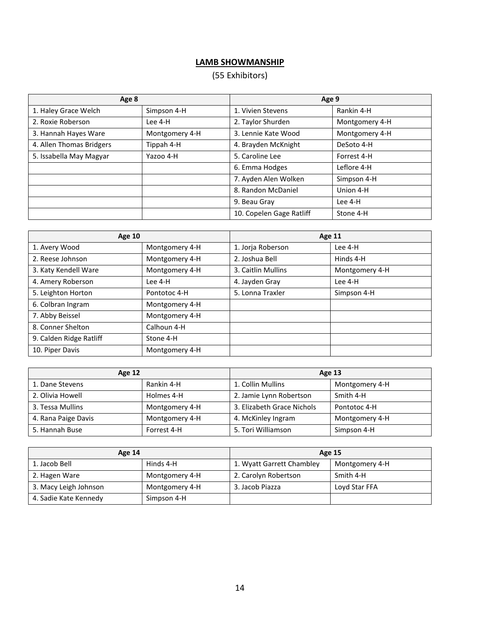# **LAMB SHOWMANSHIP**

# (55 Exhibitors)

| Age 8                    |                | Age 9                    |                |
|--------------------------|----------------|--------------------------|----------------|
| 1. Haley Grace Welch     | Simpson 4-H    | 1. Vivien Stevens        | Rankin 4-H     |
| 2. Roxie Roberson        | Lee 4-H        | 2. Taylor Shurden        | Montgomery 4-H |
| 3. Hannah Hayes Ware     | Montgomery 4-H | 3. Lennie Kate Wood      | Montgomery 4-H |
| 4. Allen Thomas Bridgers | Tippah 4-H     | 4. Brayden McKnight      | DeSoto 4-H     |
| 5. Issabella May Magyar  | Yazoo 4-H      | 5. Caroline Lee          | Forrest 4-H    |
|                          |                | 6. Emma Hodges           | Leflore 4-H    |
|                          |                | 7. Ayden Alen Wolken     | Simpson 4-H    |
|                          |                | 8. Randon McDaniel       | Union 4-H      |
|                          |                | 9. Beau Gray             | Lee 4-H        |
|                          |                | 10. Copelen Gage Ratliff | Stone 4-H      |

| <b>Age 10</b>           |                |                    | Age 11         |  |  |
|-------------------------|----------------|--------------------|----------------|--|--|
| 1. Avery Wood           | Montgomery 4-H | 1. Jorja Roberson  | Lee 4-H        |  |  |
| 2. Reese Johnson        | Montgomery 4-H | 2. Joshua Bell     | Hinds 4-H      |  |  |
| 3. Katy Kendell Ware    | Montgomery 4-H | 3. Caitlin Mullins | Montgomery 4-H |  |  |
| 4. Amery Roberson       | Lee 4-H        | 4. Jayden Gray     | Lee 4-H        |  |  |
| 5. Leighton Horton      | Pontotoc 4-H   | 5. Lonna Traxler   | Simpson 4-H    |  |  |
| 6. Colbran Ingram       | Montgomery 4-H |                    |                |  |  |
| 7. Abby Beissel         | Montgomery 4-H |                    |                |  |  |
| 8. Conner Shelton       | Calhoun 4-H    |                    |                |  |  |
| 9. Calden Ridge Ratliff | Stone 4-H      |                    |                |  |  |
| 10. Piper Davis         | Montgomery 4-H |                    |                |  |  |

| <b>Age 12</b>       |                | Age 13                     |                |
|---------------------|----------------|----------------------------|----------------|
| 1. Dane Stevens     | Rankin 4-H     | 1. Collin Mullins          | Montgomery 4-H |
| 2. Olivia Howell    | Holmes 4-H     | 2. Jamie Lynn Robertson    | Smith 4-H      |
| 3. Tessa Mullins    | Montgomery 4-H | 3. Elizabeth Grace Nichols | Pontotoc 4-H   |
| 4. Rana Paige Davis | Montgomery 4-H | 4. McKinley Ingram         | Montgomery 4-H |
| 5. Hannah Buse      | Forrest 4-H    | 5. Tori Williamson         | Simpson 4-H    |

| Age 14                |                | <b>Age 15</b>             |                |
|-----------------------|----------------|---------------------------|----------------|
| 1. Jacob Bell         | Hinds 4-H      | 1. Wyatt Garrett Chambley | Montgomery 4-H |
| 2. Hagen Ware         | Montgomery 4-H | 2. Carolyn Robertson      | Smith 4-H      |
| 3. Macy Leigh Johnson | Montgomery 4-H | 3. Jacob Piazza           | Loyd Star FFA  |
| 4. Sadie Kate Kennedy | Simpson 4-H    |                           |                |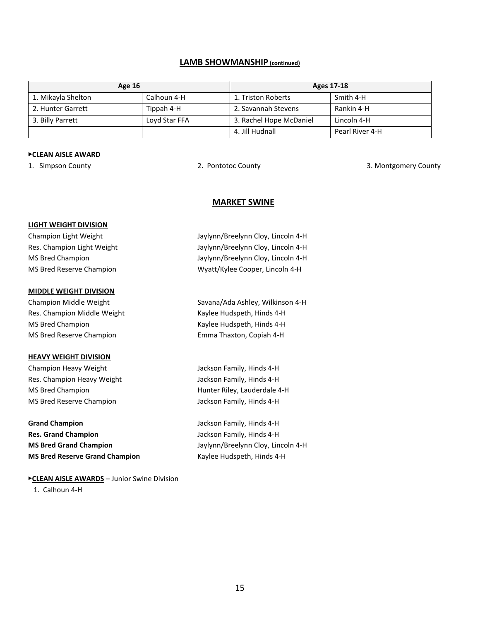#### **LAMB SHOWMANSHIP (continued)**

| <b>Age 16</b>      |               | Ages 17-18              |                 |
|--------------------|---------------|-------------------------|-----------------|
| 1. Mikayla Shelton | Calhoun 4-H   | 1. Triston Roberts      | Smith 4-H       |
| 2. Hunter Garrett  | Tippah 4-H    | 2. Savannah Stevens     | Rankin 4-H      |
| 3. Billy Parrett   | Loyd Star FFA | 3. Rachel Hope McDaniel | Lincoln 4-H     |
|                    |               | 4. Jill Hudnall         | Pearl River 4-H |

#### ▶**CLEAN AISLE AWARD**

1. Simpson County 2. Pontotoc County 3. Montgomery County

#### **MARKET SWINE**

#### **LIGHT WEIGHT DIVISION**

#### **MIDDLE WEIGHT DIVISION**

Res. Champion Middle Weight Kaylee Hudspeth, Hinds 4-H MS Bred Champion **Kaylee Hudspeth, Hinds 4-H** MS Bred Reserve Champion Emma Thaxton, Copiah 4-H

#### **HEAVY WEIGHT DIVISION**

Champion Heavy Weight **Jackson Family, Hinds 4-H** Res. Champion Heavy Weight Jackson Family, Hinds 4-H MS Bred Champion **Hunter Riley, Lauderdale 4-H** MS Bred Reserve Champion MS Bred Reserve Champion

**Grand Champion** Jackson Family, Hinds 4-H **Res. Grand Champion** Jackson Family, Hinds 4-H **MS Bred Grand Champion** Jaylynn/Breelynn Cloy, Lincoln 4-H **MS Bred Reserve Grand Champion** Kaylee Hudspeth, Hinds 4-H

▶**CLEAN AISLE AWARDS** – Junior Swine Division

1. Calhoun 4-H

Champion Light Weight Jaylynn/Breelynn Cloy, Lincoln 4-H Res. Champion Light Weight Jaylynn/Breelynn Cloy, Lincoln 4-H MS Bred Champion **MS Breed Champion** Jaylynn/Breelynn Cloy, Lincoln 4-H MS Bred Reserve Champion MS Bred Reserve Champion Wyatt/Kylee Cooper, Lincoln 4-H

Champion Middle Weight Savana/Ada Ashley, Wilkinson 4-H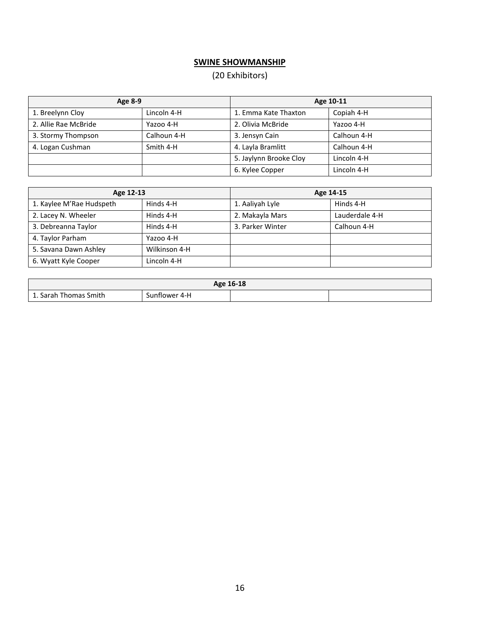# **SWINE SHOWMANSHIP**

# (20 Exhibitors)

| Age 8-9              |             | Age 10-11              |             |
|----------------------|-------------|------------------------|-------------|
| 1. Breelynn Cloy     | Lincoln 4-H | 1. Emma Kate Thaxton   | Copiah 4-H  |
| 2. Allie Rae McBride | Yazoo 4-H   | 2. Olivia McBride      | Yazoo 4-H   |
| 3. Stormy Thompson   | Calhoun 4-H | 3. Jensyn Cain         | Calhoun 4-H |
| 4. Logan Cushman     | Smith 4-H   | 4. Layla Bramlitt      | Calhoun 4-H |
|                      |             | 5. Jaylynn Brooke Cloy | Lincoln 4-H |
|                      |             | 6. Kylee Copper        | Lincoln 4-H |

| Age 12-13                |               | Age 14-15        |                |
|--------------------------|---------------|------------------|----------------|
| 1. Kaylee M'Rae Hudspeth | Hinds 4-H     | 1. Aaliyah Lyle  | Hinds 4-H      |
| 2. Lacey N. Wheeler      | Hinds 4-H     | 2. Makayla Mars  | Lauderdale 4-H |
| 3. Debreanna Taylor      | Hinds 4-H     | 3. Parker Winter | Calhoun 4-H    |
| 4. Taylor Parham         | Yazoo 4-H     |                  |                |
| 5. Savana Dawn Ashley    | Wilkinson 4-H |                  |                |
| 6. Wyatt Kyle Cooper     | Lincoln 4-H   |                  |                |

| Age 16-18             |               |  |  |
|-----------------------|---------------|--|--|
| 1. Sarah Thomas Smith | Sunflower 4-H |  |  |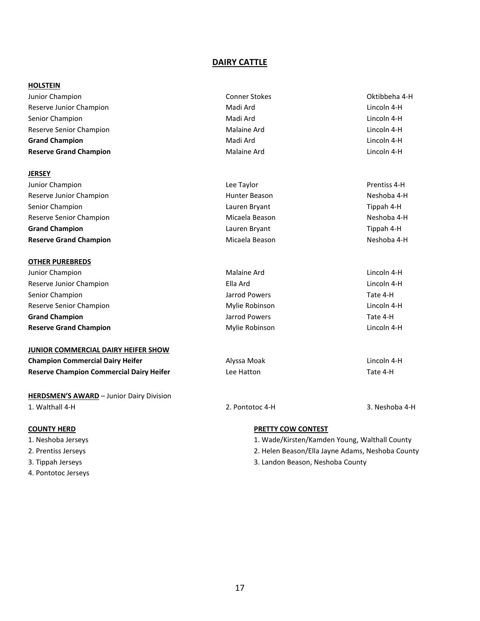#### **DAIRY CATTLE**

#### **HOLSTEIN**

| Junior Champion               | <b>Conner Stokes</b> | Oktibbeha 4-H |
|-------------------------------|----------------------|---------------|
| Reserve Junior Champion       | Madi Ard             | Lincoln 4-H   |
| Senior Champion               | Madi Ard             | Lincoln 4-H   |
| Reserve Senior Champion       | Malaine Ard          | Lincoln 4-H   |
| <b>Grand Champion</b>         | Madi Ard             | Lincoln 4-H   |
| <b>Reserve Grand Champion</b> | Malaine Ard          | Lincoln 4-H   |
|                               |                      |               |

#### **JERSEY**

| Junior Champion               | Lee Taylor     | Prentiss 4-H |
|-------------------------------|----------------|--------------|
| Reserve Junior Champion       | Hunter Beason  | Neshoba 4-H  |
| Senior Champion               | Lauren Bryant  | Tippah 4-H   |
| Reserve Senior Champion       | Micaela Beason | Neshoba 4-H  |
| <b>Grand Champion</b>         | Lauren Bryant  | Tippah 4-H   |
| <b>Reserve Grand Champion</b> | Micaela Beason | Neshoba 4-H  |

#### **OTHER PUREBREDS**

| Junior Champion               | Malaine Ard    | Lincoln 4-H |
|-------------------------------|----------------|-------------|
| Reserve Junior Champion       | Ella Ard       | Lincoln 4-H |
| Senior Champion               | Jarrod Powers  | Tate 4-H    |
| Reserve Senior Champion       | Mylie Robinson | Lincoln 4-H |
| <b>Grand Champion</b>         | Jarrod Powers  | Tate 4-H    |
| <b>Reserve Grand Champion</b> | Mylie Robinson | Lincoln 4-H |

#### **JUNIOR COMMERCIAL DAIRY HEIFER SHOW**

| <b>Champion Commercial Dairy Heifer</b>         | Alyssa Moak | Lincoln 4 |
|-------------------------------------------------|-------------|-----------|
| <b>Reserve Champion Commercial Dairy Heifer</b> | Lee Hatton  | Tate 4-H  |

**HERDSMEN'S AWARD** – Junior Dairy Division 1. Walthall 4-H 2. Pontotoc 4-H 3. Neshoba 4-H

- 
- 
- 
- 4. Pontotoc Jerseys

#### **COUNTY HERD PRETTY COW CONTEST**

- 1. Neshoba Jerseys 1. Wade/Kirsten/Kamden Young, Walthall County
- 2. Prentiss Jerseys 2. Helen Beason/Ella Jayne Adams, Neshoba County
- 3. Tippah Jerseys 3. Landon Beason, Neshoba County

**Champion Commercial Dairy Heifer** Alyssa Moak Lincoln 4-H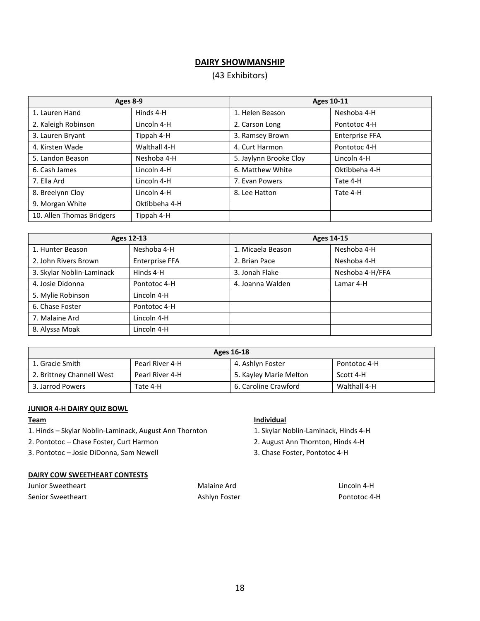# **DAIRY SHOWMANSHIP**

# (43 Exhibitors)

| Ages 8-9                  |               | <b>Ages 10-11</b>      |                |
|---------------------------|---------------|------------------------|----------------|
| 1. Lauren Hand            | Hinds 4-H     | 1. Helen Beason        | Neshoba 4-H    |
| 2. Kaleigh Robinson       | Lincoln 4-H   | 2. Carson Long         | Pontotoc 4-H   |
| 3. Lauren Bryant          | Tippah 4-H    | 3. Ramsey Brown        | Enterprise FFA |
| 4. Kirsten Wade           | Walthall 4-H  | 4. Curt Harmon         | Pontotoc 4-H   |
| 5. Landon Beason          | Neshoba 4-H   | 5. Jaylynn Brooke Cloy | Lincoln 4-H    |
| 6. Cash James             | Lincoln 4-H   | 6. Matthew White       | Oktibbeha 4-H  |
| 7. Ella Ard               | Lincoln 4-H   | 7. Evan Powers         | Tate 4-H       |
| 8. Breelynn Cloy          | Lincoln 4-H   | 8. Lee Hatton          | Tate 4-H       |
| 9. Morgan White           | Oktibbeha 4-H |                        |                |
| 10. Allen Thomas Bridgers | Tippah 4-H    |                        |                |

| Ages 12-13                |                       | Ages 14-15        |                 |
|---------------------------|-----------------------|-------------------|-----------------|
| 1. Hunter Beason          | Neshoba 4-H           | 1. Micaela Beason | Neshoba 4-H     |
| 2. John Rivers Brown      | <b>Enterprise FFA</b> | 2. Brian Pace     | Neshoba 4-H     |
| 3. Skylar Noblin-Laminack | Hinds 4-H             | 3. Jonah Flake    | Neshoba 4-H/FFA |
| 4. Josie Didonna          | Pontotoc 4-H          | 4. Joanna Walden  | Lamar 4-H       |
| 5. Mylie Robinson         | Lincoln 4-H           |                   |                 |
| 6. Chase Foster           | Pontotoc 4-H          |                   |                 |
| 7. Malaine Ard            | Lincoln 4-H           |                   |                 |
| 8. Alyssa Moak            | Lincoln 4-H           |                   |                 |

| Ages 16-18                                                             |                 |                        |              |
|------------------------------------------------------------------------|-----------------|------------------------|--------------|
| 4. Ashlyn Foster<br>Pearl River 4-H<br>1. Gracie Smith<br>Pontotoc 4-H |                 |                        |              |
| 2. Brittney Channell West                                              | Pearl River 4-H | 5. Kayley Marie Melton | Scott 4-H    |
| 3. Jarrod Powers                                                       | Tate 4-H        | 6. Caroline Crawford   | Walthall 4-H |

#### **JUNIOR 4-H DAIRY QUIZ BOWL**

1. Hinds – Skylar Noblin-Laminack, August Ann Thornton 1. Skylar Noblin-Laminack, Hinds 4-H

2. Pontotoc – Chase Foster, Curt Harmon 2. August Ann Thornton, Hinds 4-H

3. Pontotoc – Josie DiDonna, Sam Newell 3. Chase Foster, Pontotoc 4-H

#### **DAIRY COW SWEETHEART CONTESTS**

| Junior Sweetheart |  |
|-------------------|--|
| Senior Sweetheart |  |

Ashlyn Foster **Ashlyn Foster Pontotoc 4-H** 

#### **Team Individual**

Malaine Ard **Malaine Ard** Lincoln 4-H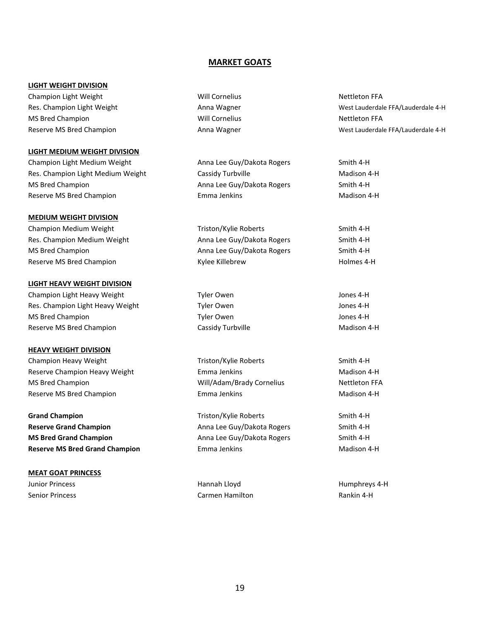#### **MARKET GOATS**

#### **LIGHT WEIGHT DIVISION**

Champion Light Weight Nettleton FFA Nettleton FFA MS Bred Champion **National Cornelius** Nettleton FFA Nettleton FFA

#### **LIGHT MEDIUM WEIGHT DIVISION**

Champion Light Medium Weight Anna Lee Guy/Dakota Rogers Smith 4-H Res. Champion Light Medium Weight Cassidy Turbville Cassidy Turbville Madison 4-H MS Bred Champion **Anna Lee Guy/Dakota Rogers** Smith 4-H Reserve MS Bred Champion **Example 20 Forma Denkins** Emma Jenkins **Madison 4-H** 

#### **MEDIUM WEIGHT DIVISION**

Champion Medium Weight Triston/Kylie Roberts Smith 4-H Res. Champion Medium Weight Anna Lee Guy/Dakota Rogers Smith 4-H MS Bred Champion **Anna Lee Guy/Dakota Rogers** Smith 4-H Reserve MS Bred Champion The Champion Term of the Killebrew Holmes 4-H

#### **LIGHT HEAVY WEIGHT DIVISION**

Champion Light Heavy Weight Tyler Owen Tyler Owen Tyler Owen Jones 4-H Res. Champion Light Heavy Weight Tyler Owen Tyler Owen Jones 4-H MS Bred Champion Tyler Owen Jones 4-H Reserve MS Bred Champion **Cassidy Turbville** Madison 4-H

#### **HEAVY WEIGHT DIVISION**

Champion Heavy Weight Triston/Kylie Roberts Smith 4-H Reserve Champion Heavy Weight **Emma Jenkins** Emma Jenkins **Madison 4-H** MS Bred Champion Will/Adam/Brady Cornelius Nettleton FFA Reserve MS Bred Champion **Example 20 Forma Denkins** Emma Jenkins **Madison 4-H** 

**Grand Champion** Triston/Kylie Roberts Smith 4-H **Reserve Grand Champion Anna Lee Guy/Dakota Rogers** Smith 4-H **MS Bred Grand Champion Anna Lee Guy/Dakota Rogers** Smith 4-H **Reserve MS Bred Grand Champion** Emma Jenkins **Emma Jenkins** Madison 4-H

# **MEAT GOAT PRINCESS**

Junior Princess **Hannah Lloyd** Hannah Lloyd **Humphreys 4-H** Senior Princess Carmen Hamilton Rankin 4-H

Res. Champion Light Weight Network Anna Wagner Anna Wagner West Lauderdale FFA/Lauderdale 4-H Reserve MS Bred Champion **Anna Wagner** Anna Wagner Anna Wagner West Lauderdale FFA/Lauderdale 4-H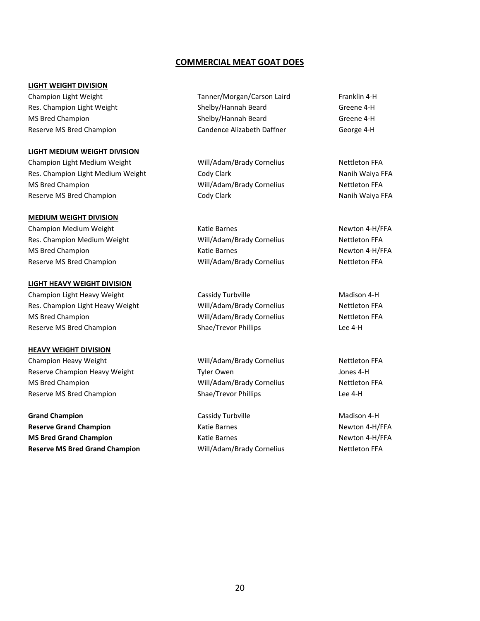#### **COMMERCIAL MEAT GOAT DOES**

#### **LIGHT WEIGHT DIVISION**

#### **LIGHT MEDIUM WEIGHT DIVISION**

Champion Light Medium Weight Will/Adam/Brady Cornelius Nettleton FFA Res. Champion Light Medium Weight Nanih Waiya FFA Cody Clark Nanih Waiya FFA MS Bred Champion **MS Bred Champion** Mill/Adam/Brady Cornelius Nettleton FFA Reserve MS Bred Champion **Nanih Waiya FFA** Cody Clark Nanih Waiya FFA

#### **MEDIUM WEIGHT DIVISION**

Champion Medium Weight **Champion Medium Weight Champion Medium Weight** Katie Barnes Newton 4-H/FFA Res. Champion Medium Weight Will/Adam/Brady Cornelius Nettleton FFA MS Bred Champion **MS Bred Champion Katie Barnes** Katie Barnes Newton 4-H/FFA Reserve MS Bred Champion The Mill/Adam/Brady Cornelius Nettleton FFA

#### **LIGHT HEAVY WEIGHT DIVISION**

Champion Light Heavy Weight Cassidy Turbville Champion Light Heavy Weight Cassidy Turbville Res. Champion Light Heavy Weight Will/Adam/Brady Cornelius Nettleton FFA MS Bred Champion Will/Adam/Brady Cornelius Nettleton FFA Reserve MS Bred Champion The Shae/Trevor Phillips Changes are the A-H

#### **HEAVY WEIGHT DIVISION**

Champion Heavy Weight Will/Adam/Brady Cornelius Nettleton FFA Reserve Champion Heavy Weight Tyler Owen Tyler Owen Assessment During States on the United States on the United States MS Bred Champion Will/Adam/Brady Cornelius Nettleton FFA Reserve MS Bred Champion The Shae/Trevor Phillips Changes are the U.S. Changes Alexander Champion

**Grand Champion Cassidy Turbville Cassidy Turbville** Madison 4-H **Reserve Grand Champion Newton 4-H/FFA** Katie Barnes Newton 4-H/FFA **MS Bred Grand Champion Newton 4-H/FFA** Katie Barnes **Newton 4-H/FFA Reserve MS Bred Grand Champion Mill/Adam/Brady Cornelius Nettleton FFA** 

Champion Light Weight Tanner/Morgan/Carson Laird Franklin 4-H Res. Champion Light Weight Network Shelby/Hannah Beard Greene 4-H MS Bred Champion The Champion Shelby/Hannah Beard Greene 4-H Reserve MS Bred Champion **Candence Alizabeth Daffner** George 4-H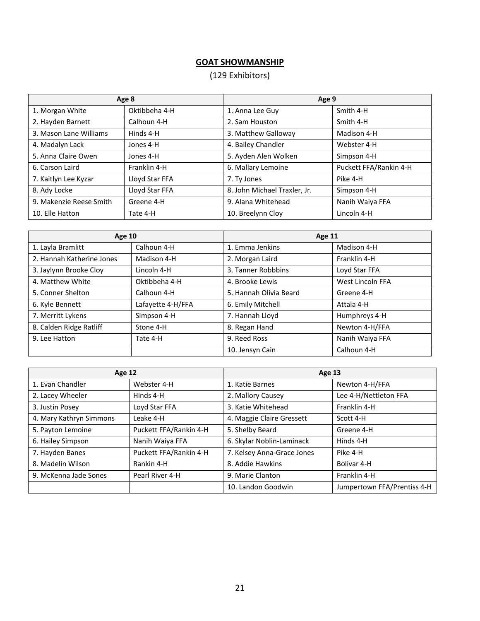# **GOAT SHOWMANSHIP**

# (129 Exhibitors)

| Age 8                   |                | Age 9                        |                        |
|-------------------------|----------------|------------------------------|------------------------|
| 1. Morgan White         | Oktibbeha 4-H  | 1. Anna Lee Guy              | Smith 4-H              |
| 2. Hayden Barnett       | Calhoun 4-H    | 2. Sam Houston               | Smith 4-H              |
| 3. Mason Lane Williams  | Hinds 4-H      | 3. Matthew Galloway          | Madison 4-H            |
| 4. Madalyn Lack         | Jones 4-H      | 4. Bailey Chandler           | Webster 4-H            |
| 5. Anna Claire Owen     | Jones 4-H      | 5. Ayden Alen Wolken         | Simpson 4-H            |
| 6. Carson Laird         | Franklin 4-H   | 6. Mallary Lemoine           | Puckett FFA/Rankin 4-H |
| 7. Kaitlyn Lee Kyzar    | Lloyd Star FFA | 7. Ty Jones                  | Pike 4-H               |
| 8. Ady Locke            | Lloyd Star FFA | 8. John Michael Traxler, Jr. | Simpson 4-H            |
| 9. Makenzie Reese Smith | Greene 4-H     | 9. Alana Whitehead           | Nanih Waiya FFA        |
| 10. Elle Hatton         | Tate 4-H       | 10. Breelynn Cloy            | Lincoln 4-H            |

| <b>Age 10</b>             |                   | Age 11                 |                  |
|---------------------------|-------------------|------------------------|------------------|
| 1. Layla Bramlitt         | Calhoun 4-H       | 1. Emma Jenkins        | Madison 4-H      |
| 2. Hannah Katherine Jones | Madison 4-H       | 2. Morgan Laird        | Franklin 4-H     |
| 3. Jaylynn Brooke Cloy    | Lincoln 4-H       | 3. Tanner Robbbins     | Loyd Star FFA    |
| 4. Matthew White          | Oktibbeha 4-H     | 4. Brooke Lewis        | West Lincoln FFA |
| 5. Conner Shelton         | Calhoun 4-H       | 5. Hannah Olivia Beard | Greene 4-H       |
| 6. Kyle Bennett           | Lafayette 4-H/FFA | 6. Emily Mitchell      | Attala 4-H       |
| 7. Merritt Lykens         | Simpson 4-H       | 7. Hannah Lloyd        | Humphreys 4-H    |
| 8. Calden Ridge Ratliff   | Stone 4-H         | 8. Regan Hand          | Newton 4-H/FFA   |
| 9. Lee Hatton             | Tate 4-H          | 9. Reed Ross           | Nanih Waiya FFA  |
|                           |                   | 10. Jensyn Cain        | Calhoun 4-H      |

| <b>Age 12</b>           |                        | Age 13                     |                             |
|-------------------------|------------------------|----------------------------|-----------------------------|
| 1. Evan Chandler        | Webster 4-H            | 1. Katie Barnes            | Newton 4-H/FFA              |
| 2. Lacey Wheeler        | Hinds 4-H              | 2. Mallory Causey          | Lee 4-H/Nettleton FFA       |
| 3. Justin Posey         | Loyd Star FFA          | 3. Katie Whitehead         | Franklin 4-H                |
| 4. Mary Kathryn Simmons | Leake 4-H              | 4. Maggie Claire Gressett  | Scott 4-H                   |
| 5. Payton Lemoine       | Puckett FFA/Rankin 4-H | 5. Shelby Beard            | Greene 4-H                  |
| 6. Hailey Simpson       | Nanih Waiya FFA        | 6. Skylar Noblin-Laminack  | Hinds 4-H                   |
| 7. Hayden Banes         | Puckett FFA/Rankin 4-H | 7. Kelsey Anna-Grace Jones | Pike 4-H                    |
| 8. Madelin Wilson       | Rankin 4-H             | 8. Addie Hawkins           | Bolivar 4-H                 |
| 9. McKenna Jade Sones   | Pearl River 4-H        | 9. Marie Clanton           | Franklin 4-H                |
|                         |                        | 10. Landon Goodwin         | Jumpertown FFA/Prentiss 4-H |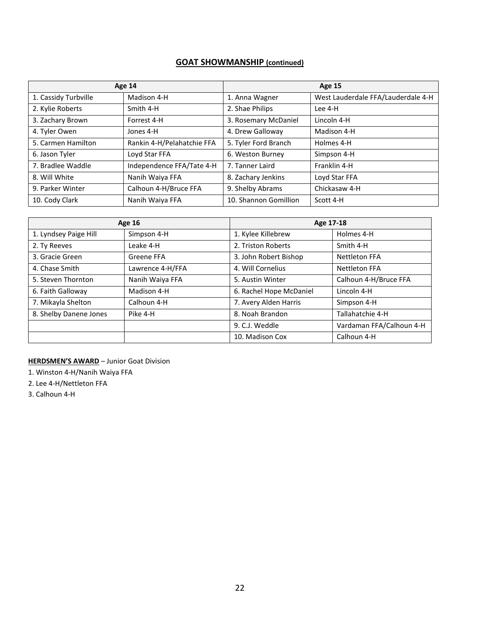# **GOAT SHOWMANSHIP (continued)**

| Age 14               |                            | <b>Age 15</b>         |                                    |
|----------------------|----------------------------|-----------------------|------------------------------------|
| 1. Cassidy Turbville | Madison 4-H                | 1. Anna Wagner        | West Lauderdale FFA/Lauderdale 4-H |
| 2. Kylie Roberts     | Smith 4-H                  | 2. Shae Philips       | Lee 4-H                            |
| 3. Zachary Brown     | Forrest 4-H                | 3. Rosemary McDaniel  | Lincoln 4-H                        |
| 4. Tyler Owen        | Jones 4-H                  | 4. Drew Galloway      | Madison 4-H                        |
| 5. Carmen Hamilton   | Rankin 4-H/Pelahatchie FFA | 5. Tyler Ford Branch  | Holmes 4-H                         |
| 6. Jason Tyler       | Loyd Star FFA              | 6. Weston Burney      | Simpson 4-H                        |
| 7. Bradlee Waddle    | Independence FFA/Tate 4-H  | 7. Tanner Laird       | Franklin 4-H                       |
| 8. Will White        | Nanih Waiya FFA            | 8. Zachary Jenkins    | Loyd Star FFA                      |
| 9. Parker Winter     | Calhoun 4-H/Bruce FFA      | 9. Shelby Abrams      | Chickasaw 4-H                      |
| 10. Cody Clark       | Nanih Waiya FFA            | 10. Shannon Gomillion | Scott 4-H                          |

| <b>Age 16</b>          |                  | Age 17-18               |                          |
|------------------------|------------------|-------------------------|--------------------------|
| 1. Lyndsey Paige Hill  | Simpson 4-H      | 1. Kylee Killebrew      | Holmes 4-H               |
| 2. Ty Reeves           | Leake 4-H        | 2. Triston Roberts      | Smith 4-H                |
| 3. Gracie Green        | Greene FFA       | 3. John Robert Bishop   | <b>Nettleton FFA</b>     |
| 4. Chase Smith         | Lawrence 4-H/FFA | 4. Will Cornelius       | <b>Nettleton FFA</b>     |
| 5. Steven Thornton     | Nanih Waiya FFA  | 5. Austin Winter        | Calhoun 4-H/Bruce FFA    |
| 6. Faith Galloway      | Madison 4-H      | 6. Rachel Hope McDaniel | Lincoln 4-H              |
| 7. Mikayla Shelton     | Calhoun 4-H      | 7. Avery Alden Harris   | Simpson 4-H              |
| 8. Shelby Danene Jones | Pike 4-H         | 8. Noah Brandon         | Tallahatchie 4-H         |
|                        |                  | 9. C.J. Weddle          | Vardaman FFA/Calhoun 4-H |
|                        |                  | 10. Madison Cox         | Calhoun 4-H              |

**HERDSMEN'S AWARD** – Junior Goat Division

1. Winston 4-H/Nanih Waiya FFA

2. Lee 4-H/Nettleton FFA

3. Calhoun 4-H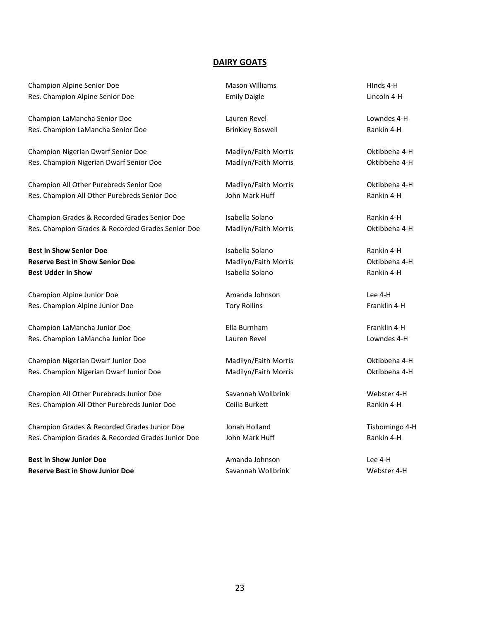#### **DAIRY GOATS**

Champion Alpine Senior Doe **Mason Williams** Mason Williams HInds 4-H Res. Champion Alpine Senior Doe **Emily Daigle** Lincoln 4-H

Champion LaMancha Senior Doe Lauren Revel Lowndes 4-H Res. Champion LaMancha Senior Doe **Brinkley Boswell** Brinkley Boswell Rankin 4-H

Champion Nigerian Dwarf Senior Doe Madilyn/Faith Morris Champion Nigerian Dwarf Senior Doe Res. Champion Nigerian Dwarf Senior Doe Madilyn/Faith Morris Oktibbeha 4-H

Champion All Other Purebreds Senior Doe Madilyn/Faith Morris Oktibbeha 4-H Res. Champion All Other Purebreds Senior Doe John Mark Huff Fund Rankin 4-H

Champion Grades & Recorded Grades Senior Doe Isabella Solano Rankin 4-H Res. Champion Grades & Recorded Grades Senior Doe Madilyn/Faith Morris Oktibbeha 4-H

**Best in Show Senior Doe Notably Constant Constant Constant Isabella Solano Rankin 4-H Rankin 4-H Reserve Best in Show Senior Doe** National According Madilyn/Faith Morris **National According Mation** Oktibbeha 4-H **Best Udder in Show Isabella Solano Isabella Solano Rankin 4-H Rankin 4-H** 

Champion Alpine Junior Doe Amanda Johnson Lee 4-H Res. Champion Alpine Junior Doe **Tory Rollins** Franklin 4-H

Champion LaMancha Junior Doe **Ella Burnham** Ella Burnham Franklin 4-H Res. Champion LaMancha Junior Doe Lauren Revel Lauren Revel Lowndes 4-H

Champion Nigerian Dwarf Junior Doe **Madilyn/Faith Morris** Champion Nigerian Dwarf Junior Doe Res. Champion Nigerian Dwarf Junior Doe Madilyn/Faith Morris Champion Nigerian 4-H

Champion All Other Purebreds Junior Doe Savannah Wollbrink North Webster 4-H Res. Champion All Other Purebreds Junior Doe Ceilia Burkett Champion All Other Purebreds Junior Doe

Champion Grades & Recorded Grades Junior Doe Jonah Holland Tishomingo 4-H Res. Champion Grades & Recorded Grades Junior Doe John Mark Huff Theorem Rankin 4-H

**Best in Show Junior Doe** Amanda Johnson Lee 4-H **Reserve Best in Show Junior Doe** New York Savannah Wollbrink New York Webster 4-H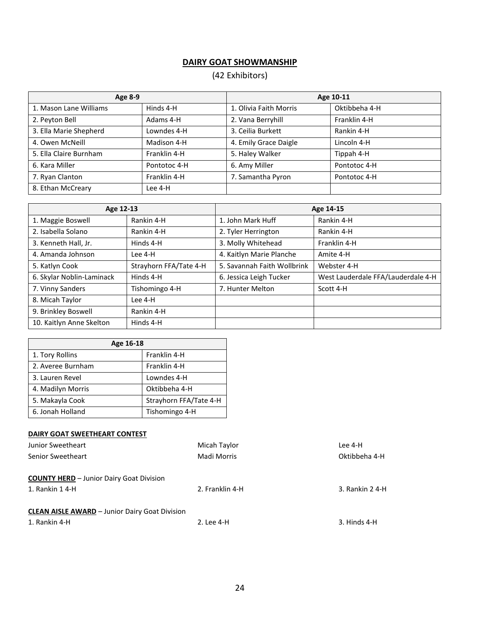# **DAIRY GOAT SHOWMANSHIP**

# (42 Exhibitors)

| <b>Age 8-9</b>         |              |                        | Age 10-11     |
|------------------------|--------------|------------------------|---------------|
| 1. Mason Lane Williams | Hinds 4-H    | 1. Olivia Faith Morris | Oktibbeha 4-H |
| 2. Peyton Bell         | Adams 4-H    | 2. Vana Berryhill      | Franklin 4-H  |
| 3. Ella Marie Shepherd | Lowndes 4-H  | 3. Ceilia Burkett      | Rankin 4-H    |
| 4. Owen McNeill        | Madison 4-H  | 4. Emily Grace Daigle  | Lincoln 4-H   |
| 5. Ella Claire Burnham | Franklin 4-H | 5. Haley Walker        | Tippah 4-H    |
| 6. Kara Miller         | Pontotoc 4-H | 6. Amy Miller          | Pontotoc 4-H  |
| 7. Ryan Clanton        | Franklin 4-H | 7. Samantha Pyron      | Pontotoc 4-H  |
| 8. Ethan McCreary      | Lee 4-H      |                        |               |

| Age 12-13                 |                        | Age 14-15                   |                                    |
|---------------------------|------------------------|-----------------------------|------------------------------------|
| 1. Maggie Boswell         | Rankin 4-H             | 1. John Mark Huff           | Rankin 4-H                         |
| 2. Isabella Solano        | Rankin 4-H             | 2. Tyler Herrington         | Rankin 4-H                         |
| 3. Kenneth Hall, Jr.      | Hinds 4-H              | 3. Molly Whitehead          | Franklin 4-H                       |
| 4. Amanda Johnson         | Lee 4-H                | 4. Kaitlyn Marie Planche    | Amite 4-H                          |
| 5. Katlyn Cook            | Strayhorn FFA/Tate 4-H | 5. Savannah Faith Wollbrink | Webster 4-H                        |
| 6. Skylar Noblin-Laminack | Hinds 4-H              | 6. Jessica Leigh Tucker     | West Lauderdale FFA/Lauderdale 4-H |
| 7. Vinny Sanders          | Tishomingo 4-H         | 7. Hunter Melton            | Scott 4-H                          |
| 8. Micah Taylor           | Lee 4-H                |                             |                                    |
| 9. Brinkley Boswell       | Rankin 4-H             |                             |                                    |
| 10. Kaitlyn Anne Skelton  | Hinds 4-H              |                             |                                    |

| Age 16-18         |                        |  |
|-------------------|------------------------|--|
| 1. Tory Rollins   | Franklin 4-H           |  |
| 2. Averee Burnham | Franklin 4-H           |  |
| 3. Lauren Revel   | Lowndes 4-H            |  |
| 4. Madilyn Morris | Oktibbeha 4-H          |  |
| 5. Makayla Cook   | Strayhorn FFA/Tate 4-H |  |
| 6. Jonah Holland  | Tishomingo 4-H         |  |

#### **DAIRY GOAT SWEETHEART CONTEST**

| Junior Sweetheart                                     | Micah Taylor    | Lee 4-H         |
|-------------------------------------------------------|-----------------|-----------------|
| <b>Senior Sweetheart</b>                              | Madi Morris     | Oktibbeha 4-H   |
|                                                       |                 |                 |
| <b>COUNTY HERD</b> - Junior Dairy Goat Division       |                 |                 |
| 1. Rankin 1 4-H                                       | 2. Franklin 4-H | 3. Rankin 2 4-H |
|                                                       |                 |                 |
| <b>CLEAN AISLE AWARD - Junior Dairy Goat Division</b> |                 |                 |
| 1. Rankin 4-H                                         | 2. Lee 4-H      | 3. Hinds 4-H    |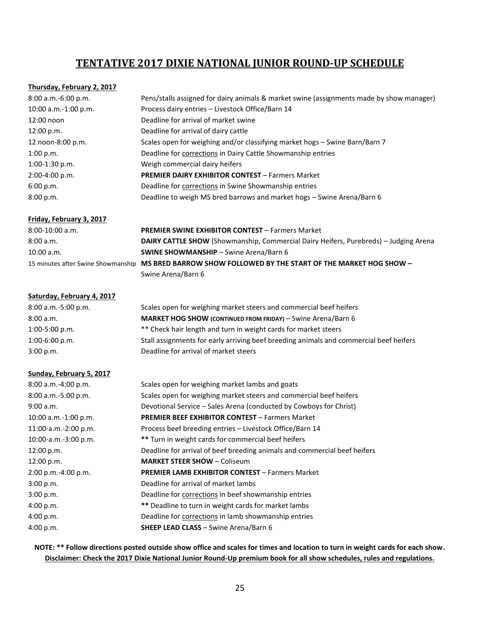# **TENTATIVE 2017 DIXIE NATIONAL JUNIOR ROUND-UP SCHEDULE**

#### **Thursday, February 2, 2017**

| $8:00$ a.m.-6:00 p.m. | Pens/stalls assigned for dairy animals & market swine (assignments made by show manager) |
|-----------------------|------------------------------------------------------------------------------------------|
| 10:00 a.m.-1:00 p.m.  | Process dairy entries - Livestock Office/Barn 14                                         |
| 12:00 noon            | Deadline for arrival of market swine                                                     |
| 12:00 p.m.            | Deadline for arrival of dairy cattle                                                     |
| 12 noon-8:00 p.m.     | Scales open for weighing and/or classifying market hogs - Swine Barn/Barn 7              |
| 1:00 p.m.             | Deadline for corrections in Dairy Cattle Showmanship entries                             |
| $1:00-1:30$ p.m.      | Weigh commercial dairy heifers                                                           |
| $2:00-4:00 p.m.$      | <b>PREMIER DAIRY EXHIBITOR CONTEST - Farmers Market</b>                                  |
| 6:00 p.m.             | Deadline for corrections in Swine Showmanship entries                                    |
| 8:00 p.m.             | Deadline to weigh MS bred barrows and market hogs - Swine Arena/Barn 6                   |

#### **Friday, February 3, 2017**

| $8:00-10:00$ a.m. | <b>PREMIER SWINE EXHIBITOR CONTEST - Farmers Market</b>                                               |
|-------------------|-------------------------------------------------------------------------------------------------------|
| 8:00 a.m.         | <b>DAIRY CATTLE SHOW</b> (Showmanship, Commercial Dairy Heifers, Purebreds) – Judging Arena           |
| $10:00$ a.m.      | <b>SWINE SHOWMANSHIP</b> – Swine Arena/Barn 6                                                         |
|                   | 15 minutes after Swine Showmanship MS BRED BARROW SHOW FOLLOWED BY THE START OF THE MARKET HOG SHOW - |
|                   | Swine Arena/Barn 6                                                                                    |

#### **Saturday, February 4, 2017**

| $8:00$ a.m.-5:00 p.m. | Scales open for weighing market steers and commercial beef heifers                     |
|-----------------------|----------------------------------------------------------------------------------------|
| 8:00 a.m.             | MARKET HOG SHOW (CONTINUED FROM FRIDAY) - Swine Arena/Barn 6                           |
| $1:00-5:00$ p.m.      | ** Check hair length and turn in weight cards for market steers                        |
| $1:00-6:00$ p.m.      | Stall assignments for early arriving beef breeding animals and commercial beef heifers |
| 3:00 p.m.             | Deadline for arrival of market steers                                                  |

#### **Sunday, February 5, 2017**

| 8:00 a.m.-4:00 p.m.     | Scales open for weighing market lambs and goats                           |
|-------------------------|---------------------------------------------------------------------------|
| 8:00 a.m.-5:00 p.m.     | Scales open for weighing market steers and commercial beef heifers        |
| 9:00 a.m.               | Devotional Service - Sales Arena (conducted by Cowboys for Christ)        |
| 10:00 a.m.-1:00 p.m.    | <b>PREMIER BEEF EXHIBITOR CONTEST - Farmers Market</b>                    |
| 11:00-a.m.-2:00 p.m.    | Process beef breeding entries - Livestock Office/Barn 14                  |
| $10:00$ -a.m.-3:00 p.m. | ** Turn in weight cards for commercial beef heifers                       |
| 12:00 p.m.              | Deadline for arrival of beef breeding animals and commercial beef heifers |
| 12:00 p.m.              | <b>MARKET STEER SHOW - Coliseum</b>                                       |
| $2:00$ p.m.-4:00 p.m.   | <b>PREMIER LAMB EXHIBITOR CONTEST - Farmers Market</b>                    |
| 3:00 p.m.               | Deadline for arrival of market lambs                                      |
| 3:00 p.m.               | Deadline for corrections in beef showmanship entries                      |
| 4:00 p.m.               | ** Deadline to turn in weight cards for market lambs                      |
| 4:00 p.m.               | Deadline for corrections in lamb showmanship entries                      |
| 4:00 p.m.               | <b>SHEEP LEAD CLASS</b> - Swine Arena/Barn 6                              |

**NOTE: \*\* Follow directions posted outside show office and scales for times and location to turn in weight cards for each show. Disclaimer: Check the 2017 Dixie National Junior Round-Up premium book for all show schedules, rules and regulations.**